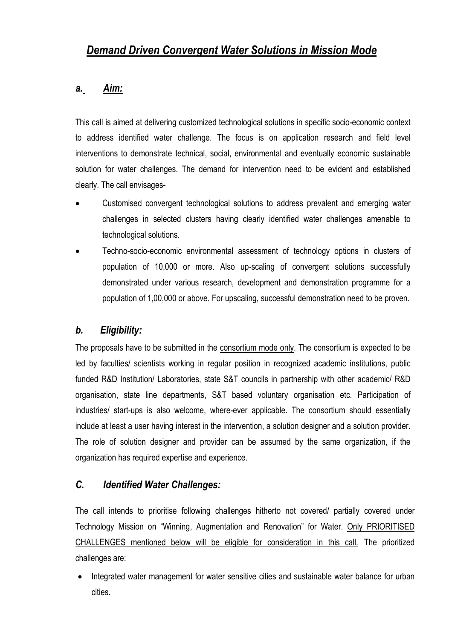# *Demand Driven Convergent Water Solutions in Mission Mode*

### *a. Aim:*

This call is aimed at delivering customized technological solutions in specific socio-economic context to address identified water challenge. The focus is on application research and field level interventions to demonstrate technical, social, environmental and eventually economic sustainable solution for water challenges. The demand for intervention need to be evident and established clearly. The call envisages-

- Customised convergent technological solutions to address prevalent and emerging water challenges in selected clusters having clearly identified water challenges amenable to technological solutions.
- Techno-socio-economic environmental assessment of technology options in clusters of population of 10,000 or more. Also up-scaling of convergent solutions successfully demonstrated under various research, development and demonstration programme for a population of 1,00,000 or above. For upscaling, successful demonstration need to be proven.

# *b. Eligibility:*

The proposals have to be submitted in the consortium mode only. The consortium is expected to be led by faculties/ scientists working in regular position in recognized academic institutions, public funded R&D Institution/ Laboratories, state S&T councils in partnership with other academic/ R&D organisation, state line departments, S&T based voluntary organisation etc. Participation of industries/ start-ups is also welcome, where-ever applicable. The consortium should essentially include at least a user having interest in the intervention, a solution designer and a solution provider. The role of solution designer and provider can be assumed by the same organization, if the organization has required expertise and experience.

#### *C. Identified Water Challenges:*

The call intends to prioritise following challenges hitherto not covered/ partially covered under Technology Mission on "Winning, Augmentation and Renovation" for Water. Only PRIORITISED CHALLENGES mentioned below will be eligible for consideration in this call. The prioritized challenges are:

• Integrated water management for water sensitive cities and sustainable water balance for urban cities.